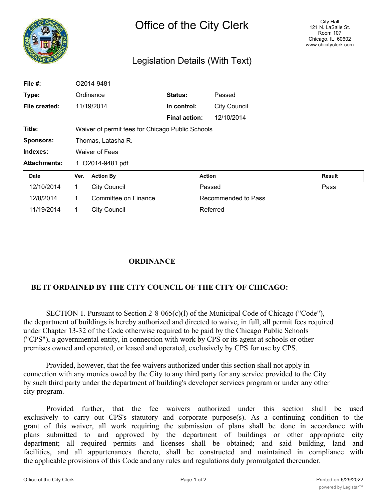| N<br>CO             | Office of the City Clerk        |                                                  |                      |                     | City Hall<br>121 N. LaSalle St.<br><b>Room 107</b><br>Chicago, IL 60602<br>www.chicityclerk.com |  |
|---------------------|---------------------------------|--------------------------------------------------|----------------------|---------------------|-------------------------------------------------------------------------------------------------|--|
|                     | Legislation Details (With Text) |                                                  |                      |                     |                                                                                                 |  |
| File #:             |                                 | O2014-9481                                       |                      |                     |                                                                                                 |  |
| Type:               |                                 | Ordinance                                        | Status:              | Passed              |                                                                                                 |  |
| File created:       |                                 | 11/19/2014                                       | In control:          | <b>City Council</b> |                                                                                                 |  |
|                     |                                 |                                                  | <b>Final action:</b> | 12/10/2014          |                                                                                                 |  |
| Title:              |                                 | Waiver of permit fees for Chicago Public Schools |                      |                     |                                                                                                 |  |
| <b>Sponsors:</b>    | Thomas, Latasha R.              |                                                  |                      |                     |                                                                                                 |  |
| Indexes:            |                                 | <b>Waiver of Fees</b>                            |                      |                     |                                                                                                 |  |
| <b>Attachments:</b> | 1. O2014-9481.pdf               |                                                  |                      |                     |                                                                                                 |  |
| <b>Date</b>         | Ver.                            | <b>Action By</b>                                 |                      | <b>Action</b>       | <b>Result</b>                                                                                   |  |
| 12/10/2014          | $\mathbf 1$                     | <b>City Council</b>                              |                      | Passed              | Pass                                                                                            |  |
| 12/8/2014           | 1                               | Committee on Finance                             |                      | Recommended to Pass |                                                                                                 |  |

## **ORDINANCE**

11/19/2014 1 City Council 11/19/2014 Referred

## **BE IT ORDAINED BY THE CITY COUNCIL OF THE CITY OF CHICAGO:**

SECTION 1. Pursuant to Section 2-8-065(c)(1) of the Municipal Code of Chicago ("Code"), the department of buildings is hereby authorized and directed to waive, in full, all permit fees required under Chapter 13-32 of the Code otherwise required to be paid by the Chicago Public Schools ("CPS"), a governmental entity, in connection with work by CPS or its agent at schools or other premises owned and operated, or leased and operated, exclusively by CPS for use by CPS.

Provided, however, that the fee waivers authorized under this section shall not apply in connection with any monies owed by the City to any third party for any service provided to the City by such third party under the department of building's developer services program or under any other city program.

Provided further, that the fee waivers authorized under this section shall be used exclusively to carry out CPS's statutory and corporate purpose(s). As a continuing condition to the grant of this waiver, all work requiring the submission of plans shall be done in accordance with plans submitted to and approved by the department of buildings or other appropriate city department; all required permits and licenses shall be obtained; and said building, land and facilities, and all appurtenances thereto, shall be constructed and maintained in compliance with the applicable provisions of this Code and any rules and regulations duly promulgated thereunder.